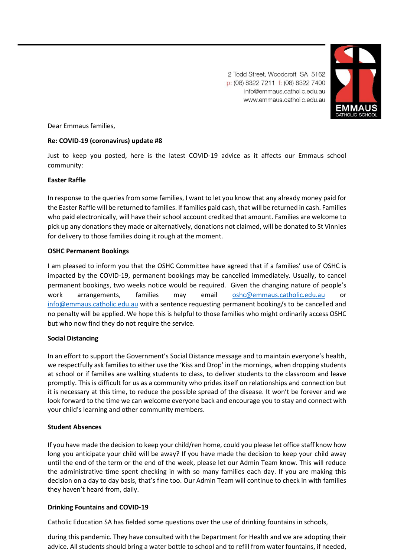2 Todd Street, Woodcroft SA 5162 p: (08) 8322 7211 f: (08) 8322 7400 info@emmaus.catholic.edu.au www.emmaus.catholic.edu.au



Dear Emmaus families,

#### **Re: COVID-19 (coronavirus) update #8**

Just to keep you posted, here is the latest COVID-19 advice as it affects our Emmaus school community:

#### **Easter Raffle**

In response to the queries from some families, I want to let you know that any already money paid for the Easter Raffle will be returned to families. If families paid cash, that will be returned in cash. Families who paid electronically, will have their school account credited that amount. Families are welcome to pick up any donations they made or alternatively, donations not claimed, will be donated to St Vinnies for delivery to those families doing it rough at the moment.

# **OSHC Permanent Bookings**

I am pleased to inform you that the OSHC Committee have agreed that if a families' use of OSHC is impacted by the COVID-19, permanent bookings may be cancelled immediately. Usually, to cancel permanent bookings, two weeks notice would be required. Given the changing nature of people's work arrangements, families may email [oshc@emmaus.catholic.edu.au](mailto:oshc@emmaus.catholic.edu.au) [info@emmaus.catholic.edu.au](mailto:info@emmaus.catholic.edu.au) with a sentence requesting permanent booking/s to be cancelled and no penalty will be applied. We hope this is helpful to those families who might ordinarily access OSHC but who now find they do not require the service.

# **Social Distancing**

In an effort to support the Government's Social Distance message and to maintain everyone's health, we respectfully ask families to either use the 'Kiss and Drop' in the mornings, when dropping students at school or if families are walking students to class, to deliver students to the classroom and leave promptly. This is difficult for us as a community who prides itself on relationships and connection but it is necessary at this time, to reduce the possible spread of the disease. It won't be forever and we look forward to the time we can welcome everyone back and encourage you to stay and connect with your child's learning and other community members.

#### **Student Absences**

If you have made the decision to keep your child/ren home, could you please let office staff know how long you anticipate your child will be away? If you have made the decision to keep your child away until the end of the term or the end of the week, please let our Admin Team know. This will reduce the administrative time spent checking in with so many families each day. If you are making this decision on a day to day basis, that's fine too. Our Admin Team will continue to check in with families they haven't heard from, daily.

#### **Drinking Fountains and COVID-19**

Catholic Education SA has fielded some questions over the use of drinking fountains in schools,

during this pandemic. They have consulted with the Department for Health and we are adopting their advice. All students should bring a water bottle to school and to refill from water fountains, if needed,